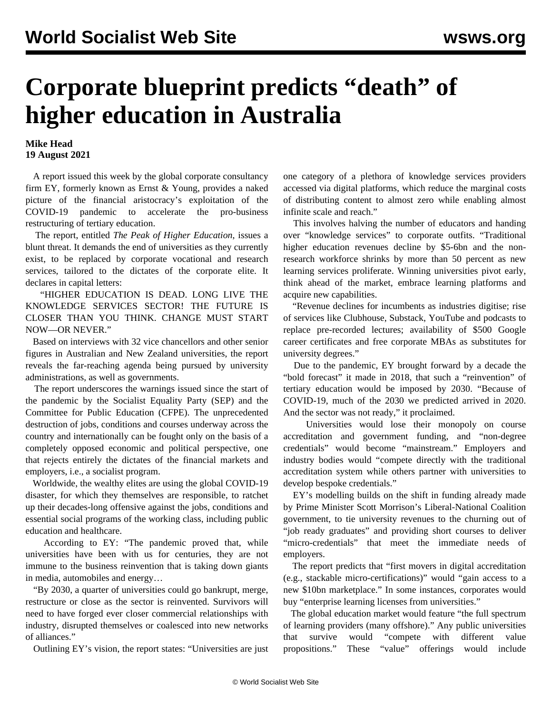## **Corporate blueprint predicts "death" of higher education in Australia**

## **Mike Head 19 August 2021**

 A report issued this week by the global corporate consultancy firm EY, formerly known as Ernst & Young, provides a naked picture of the financial aristocracy's exploitation of the COVID-19 pandemic to accelerate the pro-business restructuring of tertiary education.

 The report, entitled *The Peak of Higher Education*, issues a blunt threat. It demands the end of universities as they currently exist, to be replaced by corporate vocational and research services, tailored to the dictates of the corporate elite. It declares in capital letters:

 "HIGHER EDUCATION IS DEAD. LONG LIVE THE KNOWLEDGE SERVICES SECTOR! THE FUTURE IS CLOSER THAN YOU THINK. CHANGE MUST START NOW—OR NEVER."

 Based on interviews with 32 vice chancellors and other senior figures in Australian and New Zealand universities, the report reveals the far-reaching agenda being pursued by university administrations, as well as governments.

 The report underscores the warnings issued since the start of the pandemic by the Socialist Equality Party (SEP) and the Committee for Public Education (CFPE). The unprecedented destruction of jobs, conditions and courses underway across the country and internationally can be fought only on the basis of a completely opposed economic and political perspective, one that rejects entirely the dictates of the financial markets and employers, i.e., a socialist program.

 Worldwide, the wealthy elites are using the global COVID-19 disaster, for which they themselves are responsible, to ratchet up their decades-long offensive against the jobs, conditions and essential social programs of the working class, including public education and healthcare.

 According to EY: "The pandemic proved that, while universities have been with us for centuries, they are not immune to the business reinvention that is taking down giants in media, automobiles and energy…

 "By 2030, a quarter of universities could go bankrupt, merge, restructure or close as the sector is reinvented. Survivors will need to have forged ever closer commercial relationships with industry, disrupted themselves or coalesced into new networks of alliances."

Outlining EY's vision, the report states: "Universities are just

one category of a plethora of knowledge services providers accessed via digital platforms, which reduce the marginal costs of distributing content to almost zero while enabling almost infinite scale and reach."

 This involves halving the number of educators and handing over "knowledge services" to corporate outfits. "Traditional higher education revenues decline by \$5-6bn and the nonresearch workforce shrinks by more than 50 percent as new learning services proliferate. Winning universities pivot early, think ahead of the market, embrace learning platforms and acquire new capabilities.

 "Revenue declines for incumbents as industries digitise; rise of services like Clubhouse, Substack, YouTube and podcasts to replace pre-recorded lectures; availability of \$500 Google career certificates and free corporate MBAs as substitutes for university degrees."

 Due to the pandemic, EY brought forward by a decade the "bold forecast" it made in 2018, that such a "reinvention" of tertiary education would be imposed by 2030. "Because of COVID-19, much of the 2030 we predicted arrived in 2020. And the sector was not ready," it proclaimed.

 Universities would lose their monopoly on course accreditation and government funding, and "non-degree credentials" would become "mainstream." Employers and industry bodies would "compete directly with the traditional accreditation system while others partner with universities to develop bespoke credentials."

 EY's modelling builds on the shift in funding already made by Prime Minister Scott Morrison's Liberal-National Coalition government, to tie university revenues to the churning out of "job ready graduates" and providing short courses to deliver "micro-credentials" that meet the immediate needs of employers.

 The report predicts that "first movers in digital accreditation (e.g., stackable micro-certifications)" would "gain access to a new \$10bn marketplace." In some instances, corporates would buy "enterprise learning licenses from universities."

 The global education market would feature "the full spectrum of learning providers (many offshore)." Any public universities that survive would "compete with different value propositions." These "value" offerings would include